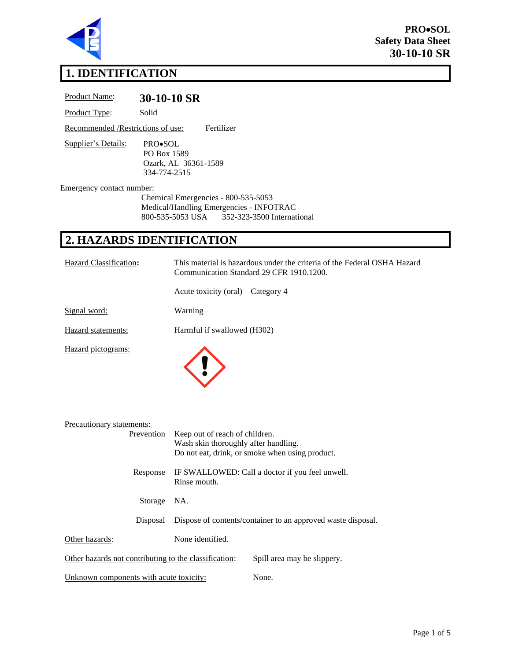

**PRO**•**SOL Safety Data Sheet 30-10-10 SR**

# **1. IDENTIFICATION**

| Product Name:                      | 30-10-10 SR                                                                                                                      |
|------------------------------------|----------------------------------------------------------------------------------------------------------------------------------|
| Product Type:                      | Solid                                                                                                                            |
| Recommended / Restrictions of use: | Fertilizer                                                                                                                       |
| Supplier's Details:                | PRO•SOL<br>PO Box 1589<br>Ozark, AL 36361-1589<br>334-774-2515                                                                   |
| <b>Emergency contact number:</b>   | Chemical Emergencies - 800-535-5053<br>Medical/Handling Emergencies - INFOTRAC<br>352-323-3500 International<br>800-535-5053 USA |
|                                    | 2. HAZARDS IDENTIFICATION                                                                                                        |
|                                    |                                                                                                                                  |
| Hazard Classification:             | This material is hazardous under the criteria of the Federal OSHA Hazard<br>Communication Standard 29 CFR 1910.1200.             |
|                                    | Acute toxicity (oral) – Category 4                                                                                               |
| Signal word:                       | Warning                                                                                                                          |
| Hazard statements:                 | Harmful if swallowed (H302)                                                                                                      |

| Precautionary statements:                             |                                      |                                                              |
|-------------------------------------------------------|--------------------------------------|--------------------------------------------------------------|
| Prevention                                            | Keep out of reach of children.       |                                                              |
|                                                       | Wash skin thoroughly after handling. |                                                              |
|                                                       |                                      | Do not eat, drink, or smoke when using product.              |
| Response                                              | Rinse mouth.                         | IF SWALLOWED: Call a doctor if you feel unwell.              |
| Storage                                               | NA.                                  |                                                              |
| Disposal                                              |                                      | Dispose of contents/container to an approved waste disposal. |
| Other hazards:                                        | None identified.                     |                                                              |
| Other hazards not contributing to the classification: |                                      | Spill area may be slippery.                                  |
| Unknown components with acute toxicity:               |                                      | None.                                                        |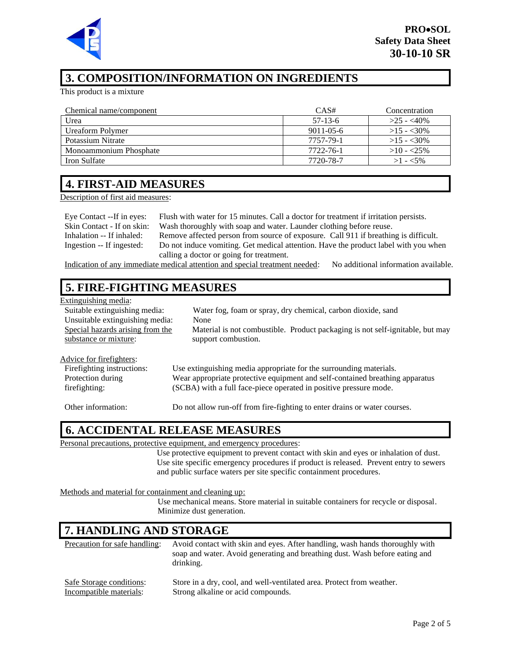

# **3. COMPOSITION/INFORMATION ON INGREDIENTS**

This product is a mixture

| Chemical name/component | CAS#            | Concentration |
|-------------------------|-----------------|---------------|
| Urea                    | $57-13-6$       | $>25 - 40\%$  |
| Ureaform Polymer        | $9011 - 05 - 6$ | $>15 - 30\%$  |
| Potassium Nitrate       | 7757-79-1       | $>15 - 30\%$  |
| Monoammonium Phosphate  | 7722-76-1       | $>10 - 25\%$  |
| Iron Sulfate            | 7720-78-7       | $>1 - 5\%$    |

#### **4. FIRST-AID MEASURES**

Description of first aid measures:

Eye Contact --If in eyes: Flush with water for 15 minutes. Call a doctor for treatment if irritation persists. Skin Contact - If on skin: Wash thoroughly with soap and water. Launder clothing before reuse. Inhalation -- If inhaled: Remove affected person from source of exposure. Call 911 if breathing is difficult. Ingestion -- If ingested: Do not induce vomiting. Get medical attention. Have the product label with you when calling a doctor or going for treatment.

Indication of any immediate medical attention and special treatment needed: No additional information available.

# **5. FIRE-FIGHTING MEASURES**

| Extinguishing media:             |                                                                               |
|----------------------------------|-------------------------------------------------------------------------------|
| Suitable extinguishing media:    | Water fog, foam or spray, dry chemical, carbon dioxide, sand                  |
| Unsuitable extinguishing media:  | None                                                                          |
| Special hazards arising from the | Material is not combustible. Product packaging is not self-ignitable, but may |
| substance or mixture:            | support combustion.                                                           |
|                                  |                                                                               |
| Advice for firefighters:         |                                                                               |
| Fire fighting instructions:      | Use extinguishing media appropriate for the surrounding materials.            |
| Protection during                | Wear appropriate protective equipment and self-contained breathing apparatus  |
| firefighting:                    | (SCBA) with a full face-piece operated in positive pressure mode.             |
|                                  |                                                                               |
| Other information:               | Do not allow run-off from fire-fighting to enter drains or water courses.     |
|                                  |                                                                               |

# **6. ACCIDENTAL RELEASE MEASURES**

Personal precautions, protective equipment, and emergency procedures:

Use protective equipment to prevent contact with skin and eyes or inhalation of dust. Use site specific emergency procedures if product is released. Prevent entry to sewers and public surface waters per site specific containment procedures.

Methods and material for containment and cleaning up:

Use mechanical means. Store material in suitable containers for recycle or disposal. Minimize dust generation.

# **7. HANDLING AND STORAGE**

| Precaution for safe handling: | Avoid contact with skin and eyes. After handling, wash hands thoroughly with<br>soap and water. Avoid generating and breathing dust. Wash before eating and<br>drinking. |
|-------------------------------|--------------------------------------------------------------------------------------------------------------------------------------------------------------------------|
| Safe Storage conditions:      | Store in a dry, cool, and well-ventilated area. Protect from weather.                                                                                                    |
| Incompatible materials:       | Strong alkaline or acid compounds.                                                                                                                                       |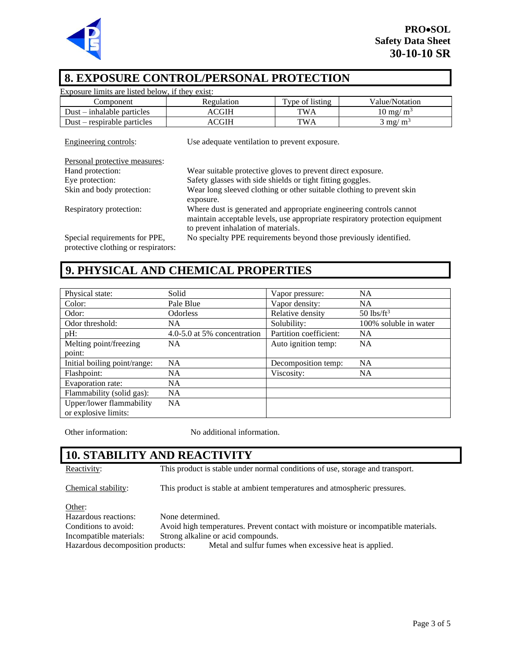

### **8. EXPOSURE CONTROL/PERSONAL PROTECTION**

| Exposure limits are listed below, if they exist: |                                                                       |                 |                                                                              |
|--------------------------------------------------|-----------------------------------------------------------------------|-----------------|------------------------------------------------------------------------------|
| Component                                        | Regulation                                                            | Type of listing | Value/Notation                                                               |
| $Dust - inhalable particles$                     | <b>ACGIH</b>                                                          | <b>TWA</b>      | $10 \text{ mg/m}^3$                                                          |
| $Dust$ – respirable particles                    | <b>ACGIH</b>                                                          | <b>TWA</b>      | $3 \text{ mg/m}^3$                                                           |
| Engineering controls:                            | Use adequate ventilation to prevent exposure.                         |                 |                                                                              |
| Personal protective measures:                    |                                                                       |                 |                                                                              |
| Hand protection:                                 | Wear suitable protective gloves to prevent direct exposure.           |                 |                                                                              |
| Eye protection:                                  | Safety glasses with side shields or tight fitting goggles.            |                 |                                                                              |
| Skin and body protection:                        | Wear long sleeved clothing or other suitable clothing to prevent skin |                 |                                                                              |
|                                                  | exposure.                                                             |                 |                                                                              |
| Respiratory protection:                          | Where dust is generated and appropriate engineering controls cannot   |                 |                                                                              |
|                                                  |                                                                       |                 | maintain acceptable levels, use appropriate respiratory protection equipment |
|                                                  | to prevent inhalation of materials.                                   |                 |                                                                              |
| Special requirements for PPE,                    | No specialty PPE requirements beyond those previously identified.     |                 |                                                                              |
| protective clothing or respirators:              |                                                                       |                 |                                                                              |

### **9. PHYSICAL AND CHEMICAL PROPERTIES**

| Physical state:              | Solid                       | Vapor pressure:        | <b>NA</b>                |
|------------------------------|-----------------------------|------------------------|--------------------------|
| Color:                       | Pale Blue                   | Vapor density:         | <b>NA</b>                |
| Odor:                        | <b>Odorless</b>             | Relative density       | $50$ lbs/ft <sup>3</sup> |
| Odor threshold:              | NA.                         | Solubility:            | 100% soluble in water    |
| pH:                          | 4.0-5.0 at 5% concentration | Partition coefficient: | <b>NA</b>                |
| Melting point/freezing       | NA.                         | Auto ignition temp:    | <b>NA</b>                |
| point:                       |                             |                        |                          |
| Initial boiling point/range: | NA                          | Decomposition temp:    | <b>NA</b>                |
| Flashpoint:                  | NA.                         | Viscosity:             | <b>NA</b>                |
| Evaporation rate:            | <b>NA</b>                   |                        |                          |
| Flammability (solid gas):    | <b>NA</b>                   |                        |                          |
| Upper/lower flammability     | <b>NA</b>                   |                        |                          |
| or explosive limits:         |                             |                        |                          |

Other information: No additional information.

# **10. STABILITY AND REACTIVITY**

Reactivity: This product is stable under normal conditions of use, storage and transport.

Chemical stability: This product is stable at ambient temperatures and atmospheric pressures.

Other:

Hazardous reactions: None determined.

Conditions to avoid: Avoid high temperatures. Prevent contact with moisture or incompatible materials.

Incompatible materials: Strong alkaline or acid compounds.

Hazardous decomposition products: Metal and sulfur fumes when excessive heat is applied.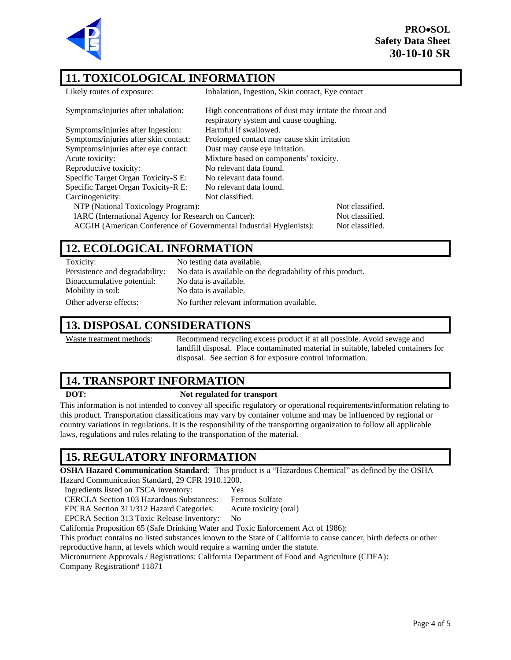**PRO**•**SOL Safety Data Sheet 30-10-10 SR**



### **11. TOXICOLOGICAL INFORMATION**

| Likely routes of exposure:                                         | Inhalation, Ingestion, Skin contact, Eye contact                                                  |
|--------------------------------------------------------------------|---------------------------------------------------------------------------------------------------|
| Symptoms/injuries after inhalation:                                | High concentrations of dust may irritate the throat and<br>respiratory system and cause coughing. |
| Symptoms/injuries after Ingestion:                                 | Harmful if swallowed.                                                                             |
| Symptoms/injuries after skin contact:                              | Prolonged contact may cause skin irritation                                                       |
| Symptoms/injuries after eye contact:                               | Dust may cause eye irritation.                                                                    |
| Acute toxicity:                                                    | Mixture based on components' toxicity.                                                            |
| Reproductive toxicity:                                             | No relevant data found.                                                                           |
| Specific Target Organ Toxicity-S E:                                | No relevant data found.                                                                           |
| Specific Target Organ Toxicity-R E:                                | No relevant data found.                                                                           |
| Carcinogenicity:                                                   | Not classified.                                                                                   |
| NTP (National Toxicology Program):                                 | Not classified.                                                                                   |
| IARC (International Agency for Research on Cancer):                | Not classified.                                                                                   |
| ACGIH (American Conference of Governmental Industrial Hygienists): | Not classified.                                                                                   |
|                                                                    |                                                                                                   |

### **12. ECOLOGICAL INFORMATION**

| Toxicity:                      | No testing data available.                                 |
|--------------------------------|------------------------------------------------------------|
| Persistence and degradability: | No data is available on the degradability of this product. |
| Bioaccumulative potential:     | No data is available.                                      |
| Mobility in soil:              | No data is available.                                      |
| Other adverse effects:         | No further relevant information available.                 |

### **13. DISPOSAL CONSIDERATIONS**

Waste treatment methods: Recommend recycling excess product if at all possible. Avoid sewage and landfill disposal. Place contaminated material in suitable, labeled containers for disposal. See section 8 for exposure control information.

# **14. TRANSPORT INFORMATION**

#### **DOT: Not regulated for transport**

This information is not intended to convey all specific regulatory or operational requirements/information relating to this product. Transportation classifications may vary by container volume and may be influenced by regional or country variations in regulations. It is the responsibility of the transporting organization to follow all applicable laws, regulations and rules relating to the transportation of the material.

# **15. REGULATORY INFORMATION**

**OSHA Hazard Communication Standard**: This product is a "Hazardous Chemical" as defined by the OSHA

Hazard Communication Standard, 29 CFR 1910.1200.

Ingredients listed on TSCA inventory: Yes

CERCLA Section 103 Hazardous Substances: Ferrous Sulfate

EPCRA Section 311/312 Hazard Categories: Acute toxicity (oral) EPCRA Section 313 Toxic Release Inventory: No

California Proposition 65 (Safe Drinking Water and Toxic Enforcement Act of 1986):

This product contains no listed substances known to the State of California to cause cancer, birth defects or other reproductive harm, at levels which would require a warning under the statute.

Micronutrient Approvals / Registrations: California Department of Food and Agriculture (CDFA):

Company Registration# 11871